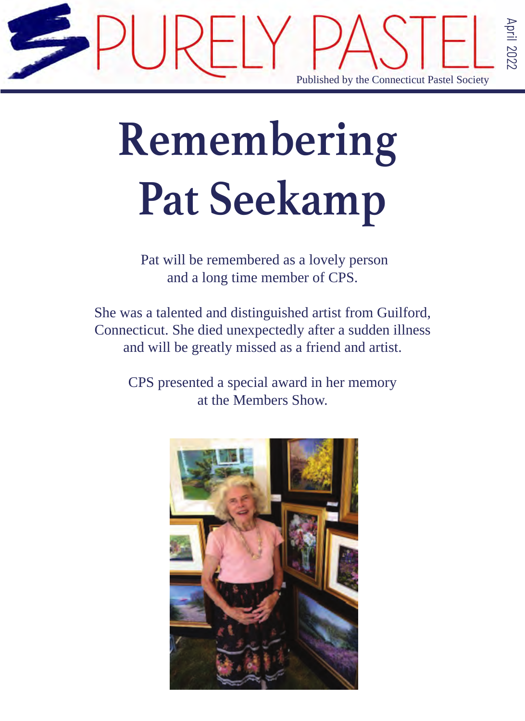

## **Remembering Pat Seekamp**

 Pat will be remembered as a lovely person and a long time member of CPS.

She was a talented and distinguished artist from Guilford, Connecticut. She died unexpectedly after a sudden illness and will be greatly missed as a friend and artist.

> CPS presented a special award in her memory at the Members Show.

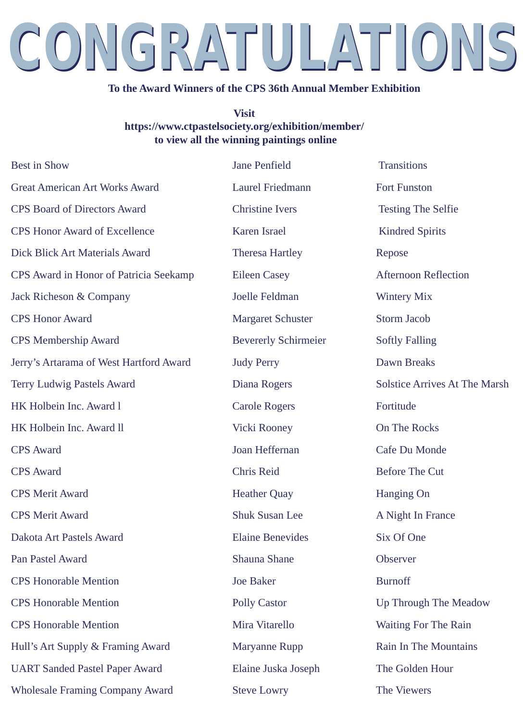## CONGRATULATIONS CONGRATULATIONS

#### **To the Award Winners of the CPS 36th Annual Member Exhibition**

#### **Visit**

## **https://www.ctpastelsociety.org/exhibition/member/ to view all the winning paintings online**

Best in Show Jane Penfield Transitions Great American Art Works Award Laurel Friedmann Fort Funston CPS Board of Directors Award Christine Ivers Testing The Selfie CPS Honor Award of Excellence Karen Israel Karen Israel Kindred Spirits Dick Blick Art Materials Award Theresa Hartley Repose CPS Award in Honor of Patricia Seekamp Eileen Casey Afternoon Reflection Jack Richeson & Company Joelle Feldman Wintery Mix CPS Membership Award Bevererly Schirmeier Softly Falling Jerry's Artarama of West Hartford Award Judy Perry Dawn Breaks Terry Ludwig Pastels Award Diana Rogers Solstice Arrives At The Marsh HK Holbein Inc. Award l Carole Rogers Fortitude HK Holbein Inc. Award ll Vicki Rooney On The Rocks CPS Award Joan Heffernan Cafe Du Monde CPS Award Chris Reid Before The Cut CPS Merit Award Heather Quay Hanging On CPS Merit Award Shuk Susan Lee A Night In France Dakota Art Pastels Award Elaine Benevides Six Of One Pan Pastel Award Shauna Shauna Shane Observer CPS Honorable Mention Joe Baker Burnoff CPS Honorable Mention Polly Castor Up Through The Meadow CPS Honorable Mention Mira Vitarello Waiting For The Rain Hull's Art Supply & Framing Award Maryanne Rupp Rain In The Mountains UART Sanded Pastel Paper Award Elaine Juska Joseph The Golden Hour Wholesale Framing Company Award Steve Lowry The Viewers **CPS Honor Award** 

**Margaret Schuster** Storm Jacob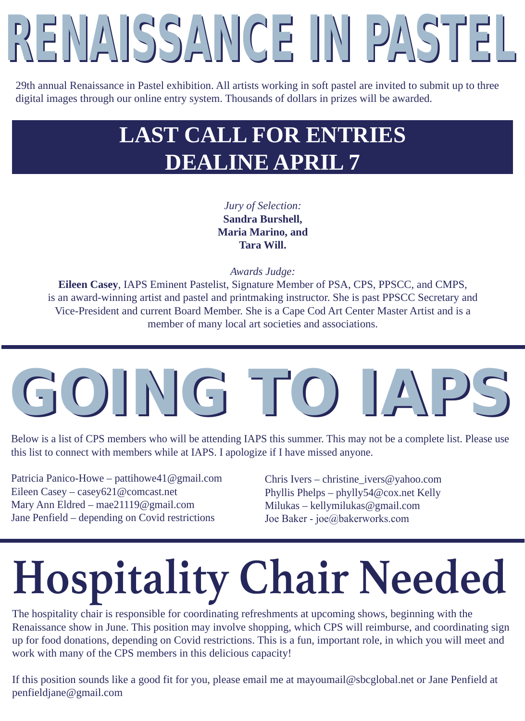# RENAISSANCE IN PASTEL

29th annual Renaissance in Pastel exhibition. All artists working in soft pastel are invited to submit up to three digital images through our online entry system. Thousands of dollars in prizes will be awarded.

## **LAST CALL FOR ENTRIES DEALINE APRIL 7**

## *Jury of Selection:*  **Sandra Burshell, Maria Marino, and Tara Will.**

*Awards Judge:*

**Eileen Casey**, IAPS Eminent Pastelist, Signature Member of PSA, CPS, PPSCC, and CMPS, is an award-winning artist and pastel and printmaking instructor. She is past PPSCC Secretary and Vice-President and current Board Member. She is a Cape Cod Art Center Master Artist and is a member of many local art societies and associations.

## GOING TO IAP

Below is a list of CPS members who will be attending IAPS this summer. This may not be a complete list. Please use this list to connect with members while at IAPS. I apologize if I have missed anyone.

Patricia Panico-Howe – pattihowe41@gmail.com Eileen Casey – casey621@comcast.net Mary Ann Eldred – mae21119@gmail.com Jane Penfield – depending on Covid restrictions

Chris Ivers – christine\_ivers@yahoo.com Phyllis Phelps – phylly54@cox.net Kelly Milukas – kellymilukas@gmail.com Joe Baker - joe@bakerworks.com

## **Hospitality Chair Needed**

The hospitality chair is responsible for coordinating refreshments at upcoming shows, beginning with the Renaissance show in June. This position may involve shopping, which CPS will reimburse, and coordinating sign up for food donations, depending on Covid restrictions. This is a fun, important role, in which you will meet and work with many of the CPS members in this delicious capacity!

If this position sounds like a good fit for you, please email me at mayoumail@sbcglobal.net or Jane Penfield at penfieldjane@gmail.com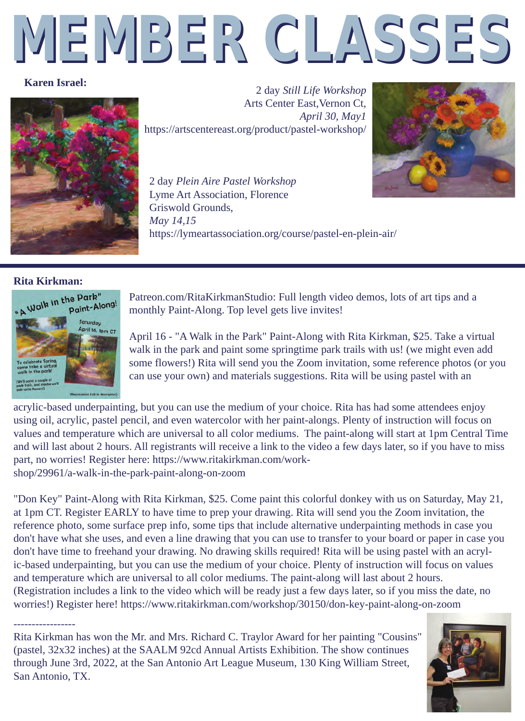# MEMBER CLASSES

#### **Karen Israel:**



2 day *Still Life Workshop* Arts Center East,Vernon Ct, *April 30, May1* https://artscentereast.org/product/pastel-workshop/



2 day *Plein Aire Pastel Workshop*  Lyme Art Association, Florence Griswold Grounds, *May 14,15*  https://lymeartassociation.org/course/pastel-en-plein-air/



Patreon.com/RitaKirkmanStudio: Full length video demos, lots of art tips and a monthly Paint-Along. Top level gets live invites!

April 16 - "A Walk in the Park" Paint-Along with Rita Kirkman, \$25. Take a virtual walk in the park and paint some springtime park trails with us! (we might even add some flowers!) Rita will send you the Zoom invitation, some reference photos (or you can use your own) and materials suggestions. Rita will be using pastel with an

acrylic-based underpainting, but you can use the medium of your choice. Rita has had some attendees enjoy using oil, acrylic, pastel pencil, and even watercolor with her paint-alongs. Plenty of instruction will focus on values and temperature which are universal to all color mediums. The paint-along will start at 1pm Central Time and will last about 2 hours. All registrants will receive a link to the video a few days later, so if you have to miss part, no worries! Register here: https://www.ritakirkman.com/workshop/29961/a-walk-in-the-park-paint-along-on-zoom

"Don Key" Paint-Along with Rita Kirkman, \$25. Come paint this colorful donkey with us on Saturday, May 21, at 1pm CT. Register EARLY to have time to prep your drawing. Rita will send you the Zoom invitation, the reference photo, some surface prep info, some tips that include alternative underpainting methods in case you don't have what she uses, and even a line drawing that you can use to transfer to your board or paper in case you don't have time to freehand your drawing. No drawing skills required! Rita will be using pastel with an acrylic-based underpainting, but you can use the medium of your choice. Plenty of instruction will focus on values and temperature which are universal to all color mediums. The paint-along will last about 2 hours. (Registration includes a link to the video which will be ready just a few days later, so if you miss the date, no worries!) Register here! https://www.ritakirkman.com/workshop/30150/don-key-paint-along-on-zoom

----------------- Rita Kirkman has won the Mr. and Mrs. Richard C. Traylor Award for her painting "Cousins" (pastel, 32x32 inches) at the SAALM 92cd Annual Artists Exhibition. The show continues through June 3rd, 2022, at the San Antonio Art League Museum, 130 King William Street, San Antonio, TX.